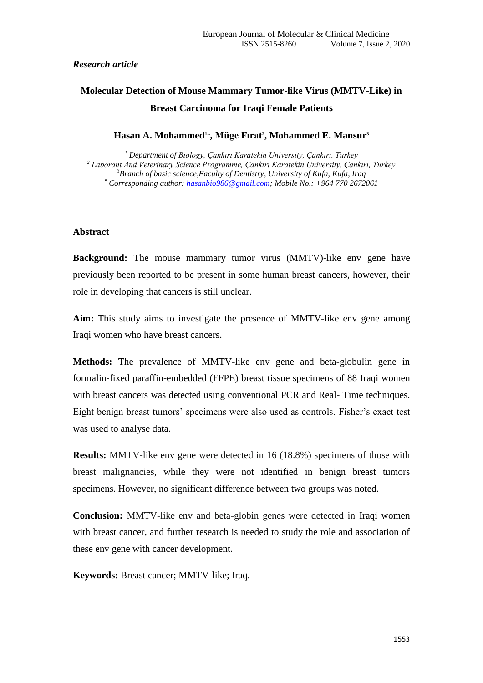#### *Research article*

# **Molecular Detection of Mouse Mammary Tumor-like Virus (MMTV-Like) in Breast Carcinoma for Iraqi Female Patients**

#### **Hasan A. Mohammed1,\* , Müge Fırat<sup>2</sup> , Mohammed E. Mansur<sup>3</sup>**

 *Department of Biology, Çankırı Karatekin University, Çankırı, Turkey Laborant And Veterinary Science Programme, Çankırı Karatekin University, Çankırı, Turkey Branch of basic science,Faculty of Dentistry, University of Kufa, Kufa, Iraq \* Corresponding author: [hasanbio986@gmail.com;](mailto:hasanbio986@gmail.com) Mobile No.: +964 770 2672061* 

#### **Abstract**

**Background:** The mouse mammary tumor virus (MMTV)-like env gene have previously been reported to be present in some human breast cancers, however, their role in developing that cancers is still unclear.

**Aim:** This study aims to investigate the presence of MMTV-like env gene among Iraqi women who have breast cancers.

**Methods:** The prevalence of MMTV-like env gene and beta-globulin gene in formalin-fixed paraffin-embedded (FFPE) breast tissue specimens of 88 Iraqi women with breast cancers was detected using conventional PCR and Real- Time techniques. Eight benign breast tumors' specimens were also used as controls. Fisher's exact test was used to analyse data.

**Results:** MMTV-like env gene were detected in 16 (18.8%) specimens of those with breast malignancies, while they were not identified in benign breast tumors specimens. However, no significant difference between two groups was noted.

**Conclusion:** MMTV-like env and beta-globin genes were detected in Iraqi women with breast cancer, and further research is needed to study the role and association of these env gene with cancer development.

**Keywords:** Breast cancer; MMTV-like; Iraq.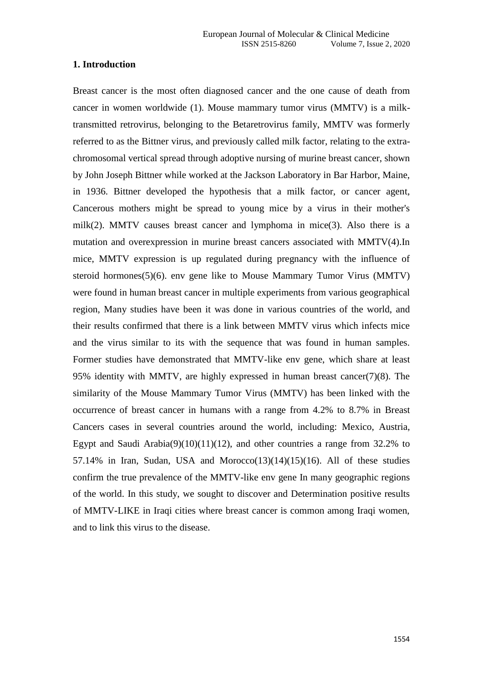#### **1. Introduction**

Breast cancer is the most often diagnosed cancer and the one cause of death from cancer in women worldwide (1). Mouse mammary tumor virus (MMTV) is a milktransmitted retrovirus, belonging to the Betaretrovirus family, MMTV was formerly referred to as the Bittner virus, and previously called milk factor, relating to the extrachromosomal vertical spread through adoptive nursing of murine breast cancer, shown by John Joseph Bittner while worked at the Jackson Laboratory in Bar Harbor, Maine, in 1936. Bittner developed the hypothesis that a milk factor, or cancer agent, Cancerous mothers might be spread to young mice by a virus in their mother's milk(2). MMTV causes breast cancer and lymphoma in mice(3). Also there is a mutation and overexpression in murine breast cancers associated with MMTV(4).In mice, MMTV expression is up regulated during pregnancy with the influence of steroid hormones(5)(6). env gene like to Mouse Mammary Tumor Virus (MMTV) were found in human breast cancer in multiple experiments from various geographical region, Many studies have been it was done in various countries of the world, and their results confirmed that there is a link between MMTV virus which infects mice and the virus similar to its with the sequence that was found in human samples. Former studies have demonstrated that MMTV-like env gene, which share at least 95% identity with MMTV, are highly expressed in human breast cancer(7)(8). The similarity of the Mouse Mammary Tumor Virus (MMTV) has been linked with the occurrence of breast cancer in humans with a range from 4.2% to 8.7% in Breast Cancers cases in several countries around the world, including: Mexico, Austria, Egypt and Saudi Arabia(9)(10)(11)(12), and other countries a range from  $32.2\%$  to 57.14% in Iran, Sudan, USA and Morocco $(13)(14)(15)(16)$ . All of these studies confirm the true prevalence of the MMTV-like env gene In many geographic regions of the world. In this study, we sought to discover and Determination positive results of MMTV-LIKE in Iraqi cities where breast cancer is common among Iraqi women, and to link this virus to the disease.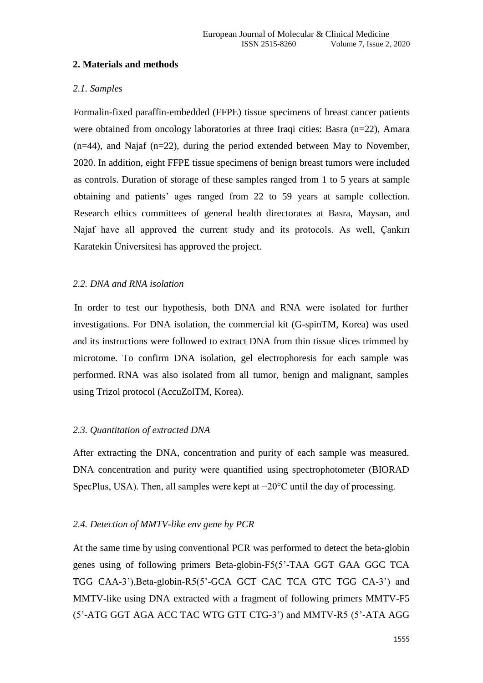## **2. Materials and methods**

# *2.1. Samples*

Formalin-fixed paraffin-embedded (FFPE) tissue specimens of breast cancer patients were obtained from oncology laboratories at three Iraqi cities: Basra (n=22), Amara (n=44), and Najaf (n=22), during the period extended between May to November, 2020. In addition, eight FFPE tissue specimens of benign breast tumors were included as controls. Duration of storage of these samples ranged from 1 to 5 years at sample obtaining and patients' ages ranged from 22 to 59 years at sample collection. Research ethics committees of general health directorates at Basra, Maysan, and Najaf have all approved the current study and its protocols. As well, Çankırı Karatekin Üniversitesi has approved the project.

# *2.2. DNA and RNA isolation*

In order to test our hypothesis, both DNA and RNA were isolated for further investigations. For DNA isolation, the commercial kit (G-spinTM, Korea) was used and its instructions were followed to extract DNA from thin tissue slices trimmed by microtome. To confirm DNA isolation, gel electrophoresis for each sample was performed. RNA was also isolated from all tumor, benign and malignant, samples using Trizol protocol (AccuZolTM, Korea).

# *2.3. Quantitation of extracted DNA*

After extracting the DNA, concentration and purity of each sample was measured. DNA concentration and purity were quantified using spectrophotometer (BIORAD SpecPlus, USA). Then, all samples were kept at −20°C until the day of processing.

## *2.4. Detection of MMTV-like env gene by PCR*

At the same time by using conventional PCR was performed to detect the beta-globin genes using of following primers Beta-globin-F5(5'-TAA GGT GAA GGC TCA TGG CAA-3'),Beta-globin-R5(5'-GCA GCT CAC TCA GTC TGG CA-3') and MMTV-like using DNA extracted with a fragment of following primers MMTV-F5 (5'-ATG GGT AGA ACC TAC WTG GTT CTG-3') and MMTV-R5 (5'-ATA AGG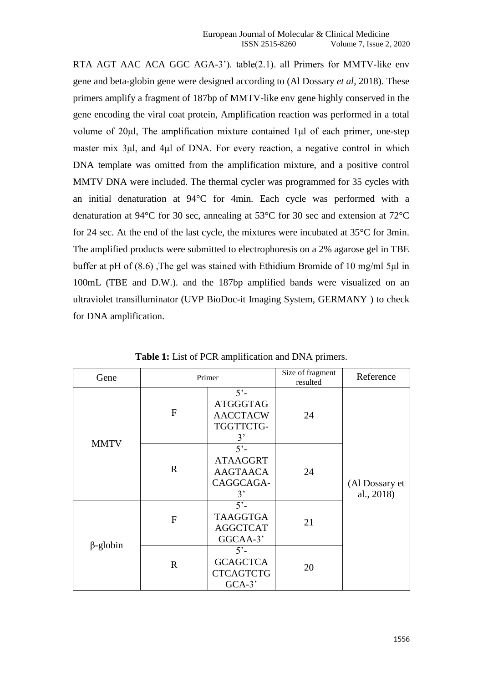RTA AGT AAC ACA GGC AGA-3'). table(2.1). all Primers for MMTV-like env gene and beta-globin gene were designed according to (Al Dossary *et al*, 2018). These primers amplify a fragment of 187bp of MMTV-like env gene highly conserved in the gene encoding the viral coat protein, Amplification reaction was performed in a total volume of 20μl, The amplification mixture contained 1μl of each primer, one-step master mix 3μl, and 4μl of DNA. For every reaction, a negative control in which DNA template was omitted from the amplification mixture, and a positive control MMTV DNA were included. The thermal cycler was programmed for 35 cycles with an initial denaturation at 94°C for 4min. Each cycle was performed with a denaturation at 94°C for 30 sec, annealing at 53°C for 30 sec and extension at 72°C for 24 sec. At the end of the last cycle, the mixtures were incubated at 35°C for 3min. The amplified products were submitted to electrophoresis on a 2% agarose gel in TBE buffer at pH of (8.6) ,The gel was stained with Ethidium Bromide of 10 mg/ml 5μl in 100mL (TBE and D.W.). and the 187bp amplified bands were visualized on an ultraviolet transilluminator (UVP BioDoc-it Imaging System, GERMANY ) to check for DNA amplification.

| Gene            | Primer         |                                                                      | Size of fragment<br>resulted | Reference                    |
|-----------------|----------------|----------------------------------------------------------------------|------------------------------|------------------------------|
| <b>MMTV</b>     | F              | $5^\circ$<br><b>ATGGGTAG</b><br><b>AACCTACW</b><br>TGGTTCTG-<br>3'   | 24                           | (Al Dossary et<br>al., 2018) |
|                 | $\mathbf R$    | $5^\circ$ -<br><b>ATAAGGRT</b><br><b>AAGTAACA</b><br>CAGGCAGA-<br>3' | 24                           |                              |
| $\beta$ -globin | $\overline{F}$ | $5^{\circ}$<br><b>TAAGGTGA</b><br><b>AGGCTCAT</b><br>GGCAA-3'        | 21                           |                              |
|                 | $\mathbf R$    | $5^\circ$<br><b>GCAGCTCA</b><br><b>CTCAGTCTG</b><br>$GCA-3'$         | 20                           |                              |

**Table 1:** List of PCR amplification and DNA primers.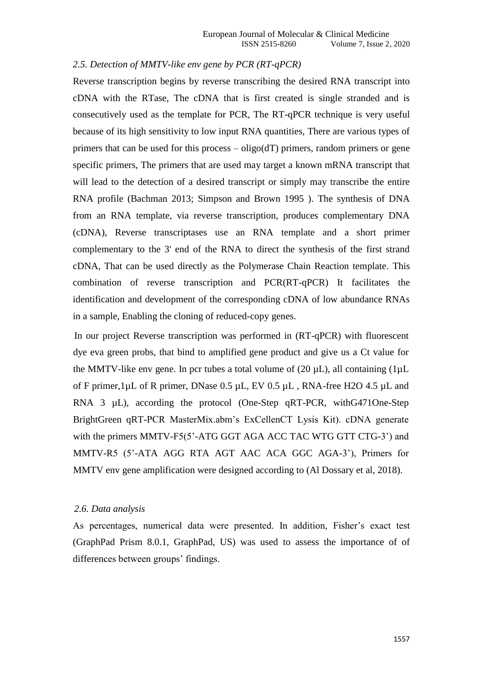### *2.5. Detection of MMTV-like env gene by PCR (RT-qPCR)*

Reverse transcription begins by reverse transcribing the desired RNA transcript into cDNA with the RTase, The cDNA that is first created is single stranded and is consecutively used as the template for PCR, The RT-qPCR technique is very useful because of its high sensitivity to low input RNA quantities, There are various types of primers that can be used for this process  $-\text{oligo}(dT)$  primers, random primers or gene specific primers, The primers that are used may target a known mRNA transcript that will lead to the detection of a desired transcript or simply may transcribe the entire RNA profile (Bachman 2013; Simpson and Brown 1995 ). The synthesis of DNA from an RNA template, via reverse transcription, produces complementary DNA (cDNA), Reverse transcriptases use an RNA template and a short primer complementary to the 3' end of the RNA to direct the synthesis of the first strand cDNA, That can be used directly as the Polymerase Chain Reaction template. This combination of reverse transcription and PCR(RT-qPCR) It facilitates the identification and development of the corresponding cDNA of low abundance RNAs in a sample, Enabling the cloning of reduced-copy genes.

In our project Reverse transcription was performed in (RT-qPCR) with fluorescent dye eva green probs, that bind to amplified gene product and give us a Ct value for the MMTV-like env gene. In pcr tubes a total volume of  $(20 \mu L)$ , all containing  $(1 \mu L)$ of F primer,1µL of R primer, DNase 0.5 µL, EV 0.5 µL , RNA-free H2O 4.5 µL and RNA 3 µL), according the protocol (One-Step qRT-PCR, withG471One-Step BrightGreen qRT-PCR MasterMix.abm's ExCellenCT Lysis Kit). cDNA generate with the primers MMTV-F5(5'-ATG GGT AGA ACC TAC WTG GTT CTG-3') and MMTV-R5 (5'-ATA AGG RTA AGT AAC ACA GGC AGA-3'), Primers for MMTV env gene amplification were designed according to (Al Dossary et al, 2018).

#### *2.6. Data analysis*

As percentages, numerical data were presented. In addition, Fisher's exact test (GraphPad Prism 8.0.1, GraphPad, US) was used to assess the importance of of differences between groups' findings.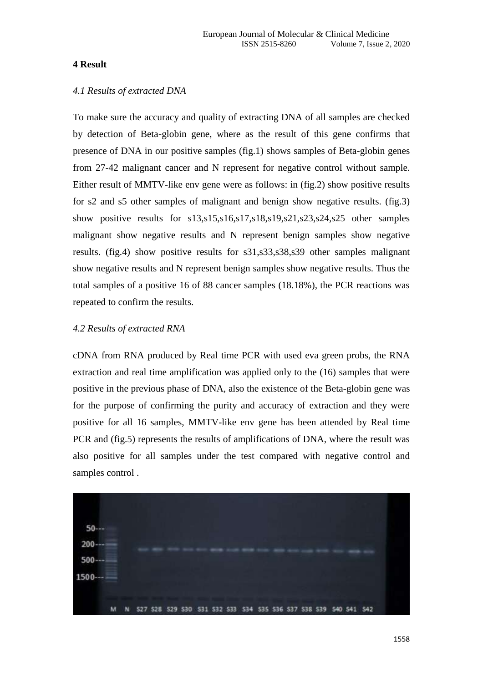### **4 Result**

#### *4.1 Results of extracted DNA*

To make sure the accuracy and quality of extracting DNA of all samples are checked by detection of Beta-globin gene, where as the result of this gene confirms that presence of DNA in our positive samples (fig.1) shows samples of Beta-globin genes from 27-42 malignant cancer and N represent for negative control without sample. Either result of MMTV-like env gene were as follows: in (fig.2) show positive results for s2 and s5 other samples of malignant and benign show negative results. (fig.3) show positive results for s13,s15,s16,s17,s18,s19,s21,s23,s24,s25 other samples malignant show negative results and N represent benign samples show negative results. (fig.4) show positive results for s31,s33,s38,s39 other samples malignant show negative results and N represent benign samples show negative results. Thus the total samples of a positive 16 of 88 cancer samples (18.18%), the PCR reactions was repeated to confirm the results.

#### *4.2 Results of extracted RNA*

cDNA from RNA produced by Real time PCR with used eva green probs, the RNA extraction and real time amplification was applied only to the (16) samples that were positive in the previous phase of DNA, also the existence of the Beta-globin gene was for the purpose of confirming the purity and accuracy of extraction and they were positive for all 16 samples, MMTV-like env gene has been attended by Real time PCR and (fig.5) represents the results of amplifications of DNA, where the result was also positive for all samples under the test compared with negative control and samples control .

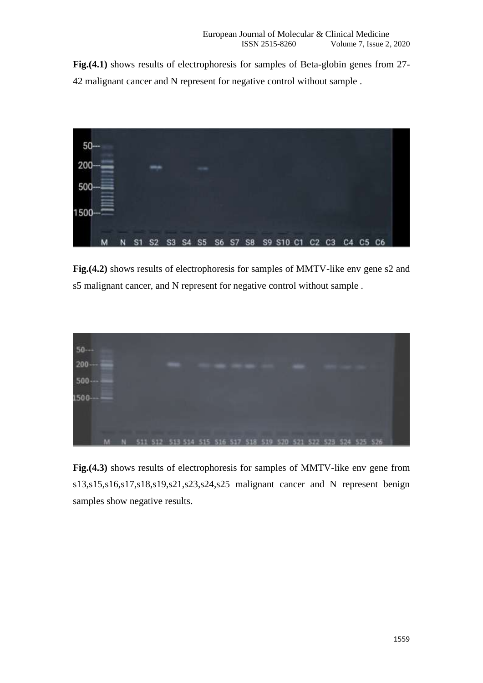**Fig.(4.1)** shows results of electrophoresis for samples of Beta-globin genes from 27- 42 malignant cancer and N represent for negative control without sample .



**Fig.(4.2)** shows results of electrophoresis for samples of MMTV-like env gene s2 and s5 malignant cancer, and N represent for negative control without sample .



**Fig.(4.3)** shows results of electrophoresis for samples of MMTV-like env gene from s13,s15,s16,s17,s18,s19,s21,s23,s24,s25 malignant cancer and N represent benign samples show negative results.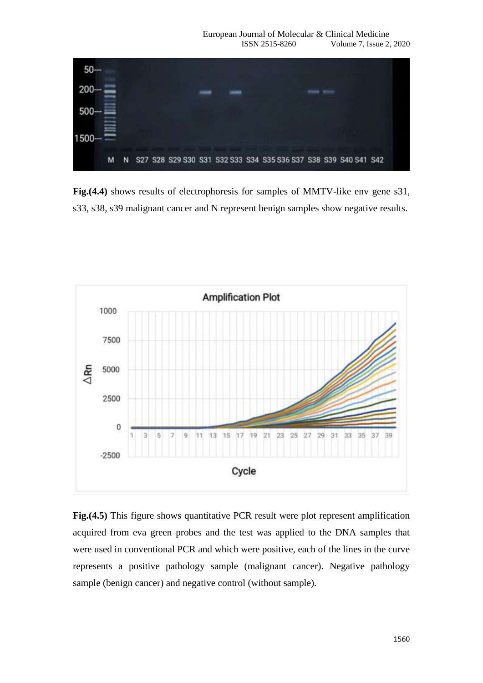

**Fig.(4.4)** shows results of electrophoresis for samples of MMTV-like env gene s31, s33, s38, s39 malignant cancer and N represent benign samples show negative results.



**Fig.**(4.5) This figure shows quantitative PCR result were plot represent amplification acquired from eva green probes and the test was applied to the DNA samples that were used in conventional PCR and which were positive, each of the lines in the curve represents a positive pathology sample (malignant cancer). Negative pathology sample (benign cancer) and negative control (without sample).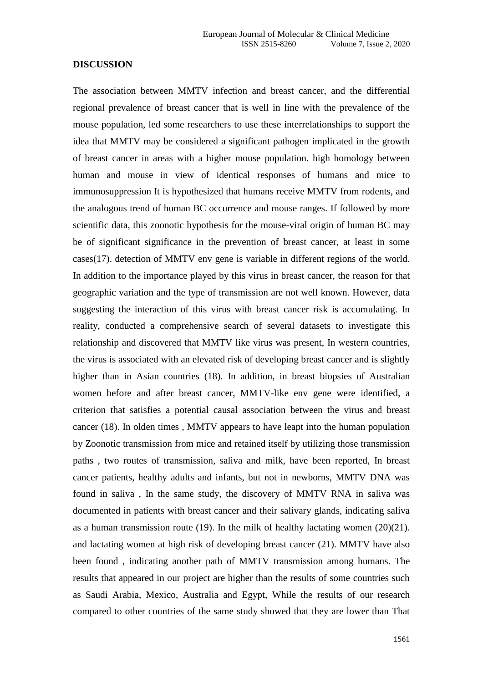#### **DISCUSSION**

The association between MMTV infection and breast cancer, and the differential regional prevalence of breast cancer that is well in line with the prevalence of the mouse population, led some researchers to use these interrelationships to support the idea that MMTV may be considered a significant pathogen implicated in the growth of breast cancer in areas with a higher mouse population. high homology between human and mouse in view of identical responses of humans and mice to immunosuppression It is hypothesized that humans receive MMTV from rodents, and the analogous trend of human BC occurrence and mouse ranges. If followed by more scientific data, this zoonotic hypothesis for the mouse-viral origin of human BC may be of significant significance in the prevention of breast cancer, at least in some cases(17). detection of MMTV env gene is variable in different regions of the world. In addition to the importance played by this virus in breast cancer, the reason for that geographic variation and the type of transmission are not well known. However, data suggesting the interaction of this virus with breast cancer risk is accumulating. In reality, conducted a comprehensive search of several datasets to investigate this relationship and discovered that MMTV like virus was present, In western countries, the virus is associated with an elevated risk of developing breast cancer and is slightly higher than in Asian countries (18). In addition, in breast biopsies of Australian women before and after breast cancer, MMTV-like env gene were identified, a criterion that satisfies a potential causal association between the virus and breast cancer (18). In olden times , MMTV appears to have leapt into the human population by Zoonotic transmission from mice and retained itself by utilizing those transmission paths , two routes of transmission, saliva and milk, have been reported, In breast cancer patients, healthy adults and infants, but not in newborns, MMTV DNA was found in saliva , In the same study, the discovery of MMTV RNA in saliva was documented in patients with breast cancer and their salivary glands, indicating saliva as a human transmission route (19). In the milk of healthy lactating women (20)(21). and lactating women at high risk of developing breast cancer (21). MMTV have also been found , indicating another path of MMTV transmission among humans. The results that appeared in our project are higher than the results of some countries such as Saudi Arabia, Mexico, Australia and Egypt, While the results of our research compared to other countries of the same study showed that they are lower than That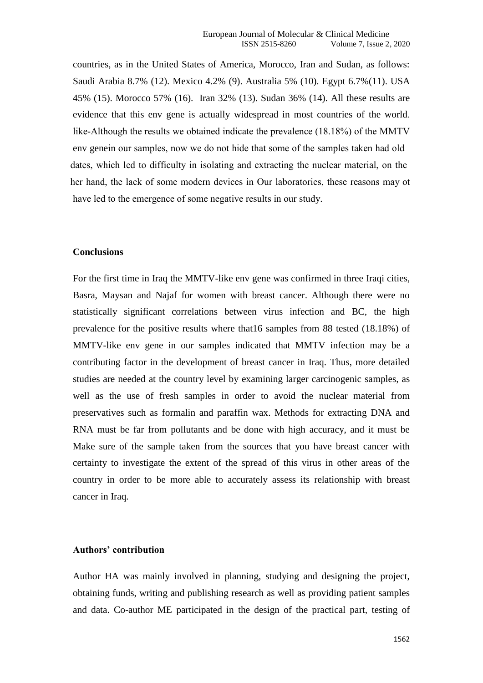countries, as in the United States of America, Morocco, Iran and Sudan, as follows: Saudi Arabia 8.7% (12). Mexico 4.2% (9). Australia 5% (10). Egypt 6.7%(11). USA 45% (15). Morocco 57% (16). Iran 32% (13). Sudan 36% (14). All these results are evidence that this env gene is actually widespread in most countries of the world. like-Although the results we obtained indicate the prevalence  $(18.18\%)$  of the MMTV env genein our samples, now we do not hide that some of the samples taken had old dates, which led to difficulty in isolating and extracting the nuclear material, on the her hand, the lack of some modern devices in Our laboratories, these reasons may ot have led to the emergence of some negative results in our study.

#### **Conclusions**

For the first time in Iraq the MMTV-like env gene was confirmed in three Iraqi cities, Basra, Maysan and Najaf for women with breast cancer. Although there were no statistically significant correlations between virus infection and BC, the high prevalence for the positive results where that16 samples from 88 tested (18.18%) of MMTV-like env gene in our samples indicated that MMTV infection may be a contributing factor in the development of breast cancer in Iraq. Thus, more detailed studies are needed at the country level by examining larger carcinogenic samples, as well as the use of fresh samples in order to avoid the nuclear material from preservatives such as formalin and paraffin wax. Methods for extracting DNA and RNA must be far from pollutants and be done with high accuracy, and it must be Make sure of the sample taken from the sources that you have breast cancer with certainty to investigate the extent of the spread of this virus in other areas of the country in order to be more able to accurately assess its relationship with breast cancer in Iraq.

# **Authors' contribution**

Author HA was mainly involved in planning, studying and designing the project, obtaining funds, writing and publishing research as well as providing patient samples and data. Co-author ME participated in the design of the practical part, testing of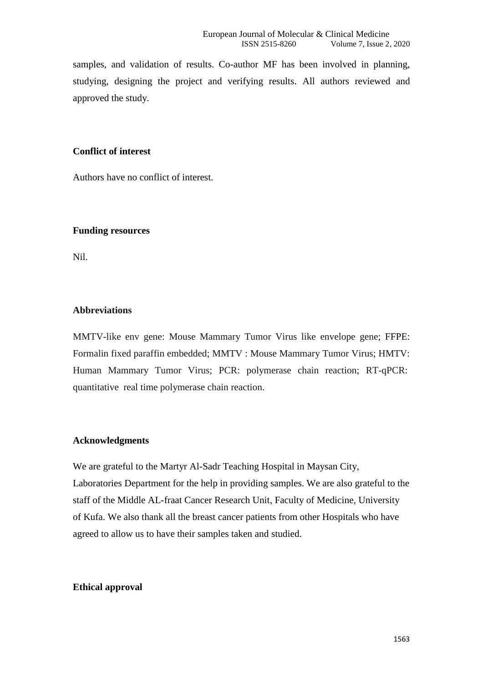samples, and validation of results. Co-author MF has been involved in planning, studying, designing the project and verifying results. All authors reviewed and approved the study.

# **Conflict of interest**

Authors have no conflict of interest.

## **Funding resources**

Nil.

# **Abbreviations**

MMTV-like env gene: Mouse Mammary Tumor Virus like envelope gene; FFPE: Formalin fixed paraffin embedded; MMTV : Mouse Mammary Tumor Virus; HMTV: Human Mammary Tumor Virus; PCR: polymerase chain reaction; RT-qPCR: quantitative real time polymerase chain reaction.

## **Acknowledgments**

We are grateful to the Martyr Al-Sadr Teaching Hospital in Maysan City, Laboratories Department for the help in providing samples. We are also grateful to the staff of the Middle AL-fraat Cancer Research Unit, Faculty of Medicine, University of Kufa. We also thank all the breast cancer patients from other Hospitals who have agreed to allow us to have their samples taken and studied.

## **Ethical approval**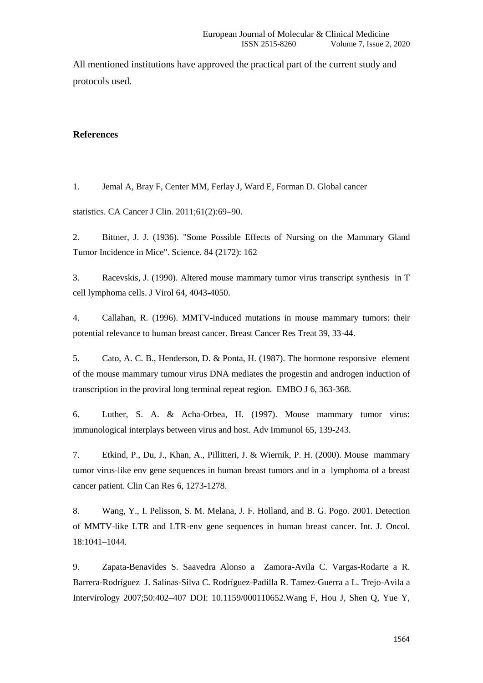All mentioned institutions have approved the practical part of the current study and protocols used.

#### **References**

1. Jemal A, Bray F, Center MM, Ferlay J, Ward E, Forman D. Global cancer

statistics. CA Cancer J Clin. 2011;61(2):69–90.

2. Bittner, J. J. (1936). "Some Possible Effects of Nursing on the Mammary Gland Tumor Incidence in Mice". Science. 84 (2172): 162

3. Racevskis, J. (1990). Altered mouse mammary tumor virus transcript synthesis in T cell lymphoma cells. J Virol 64, 4043-4050.

4. Callahan, R. (1996). MMTV-induced mutations in mouse mammary tumors: their potential relevance to human breast cancer. Breast Cancer Res Treat 39, 33-44.

5. Cato, A. C. B., Henderson, D. & Ponta, H. (1987). The hormone responsive element of the mouse mammary tumour virus DNA mediates the progestin and androgen induction of transcription in the proviral long terminal repeat region. EMBO J 6, 363-368.

6. Luther, S. A. & Acha-Orbea, H. (1997). Mouse mammary tumor virus: immunological interplays between virus and host. Adv Immunol 65, 139-243.

7. Etkind, P., Du, J., Khan, A., Pillitteri, J. & Wiernik, P. H. (2000). Mouse mammary tumor virus-like env gene sequences in human breast tumors and in a lymphoma of a breast cancer patient. Clin Can Res 6, 1273-1278.

8. Wang, Y., I. Pelisson, S. M. Melana, J. F. Holland, and B. G. Pogo. 2001. Detection of MMTV-like LTR and LTR-env gene sequences in human breast cancer. Int. J. Oncol. 18:1041–1044.

9. Zapata-Benavides S. Saavedra Alonso a Zamora-Avila C. Vargas-Rodarte a R. Barrera-Rodríguez J. Salinas-Silva C. Rodríguez-Padilla R. Tamez-Guerra a L. Trejo-Avila a Intervirology 2007;50:402–407 DOI: 10.1159/000110652.Wang F, Hou J, Shen Q, Yue Y,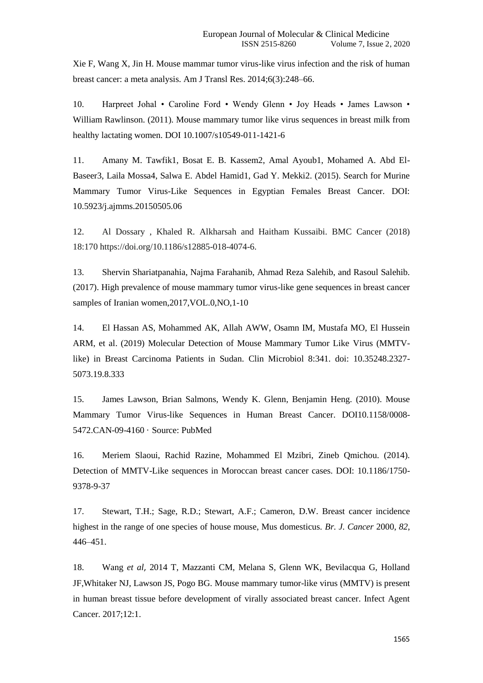Xie F, Wang X, Jin H. Mouse mammar tumor virus-like virus infection and the risk of human breast cancer: a meta analysis. Am J Transl Res. 2014;6(3):248–66.

10. Harpreet Johal • Caroline Ford • Wendy Glenn • Joy Heads • James Lawson • William Rawlinson. (2011). Mouse mammary tumor like virus sequences in breast milk from healthy lactating women. DOI 10.1007/s10549-011-1421-6

11. Amany M. Tawfik1, Bosat E. B. Kassem2, Amal Ayoub1, Mohamed A. Abd El-Baseer3, Laila Mossa4, Salwa E. Abdel Hamid1, Gad Y. Mekki2. (2015). Search for Murine Mammary Tumor Virus-Like Sequences in Egyptian Females Breast Cancer. DOI: 10.5923/j.ajmms.20150505.06

12. Al Dossary , Khaled R. Alkharsah and Haitham Kussaibi. BMC Cancer (2018) 18:170<https://doi.org/10.1186/s12885-018-4074-6.>

13. Shervin Shariatpanahia, Najma Farahanib, Ahmad Reza Salehib, and Rasoul Salehib. (2017). High prevalence of mouse mammary tumor virus-like gene sequences in breast cancer samples of Iranian women,2017,VOL.0,NO,1-10

14. El Hassan AS, Mohammed AK, Allah AWW, Osamn IM, Mustafa MO, El Hussein ARM, et al. (2019) Molecular Detection of Mouse Mammary Tumor Like Virus (MMTVlike) in Breast Carcinoma Patients in Sudan. Clin Microbiol 8:341. doi: 10.35248.2327- 5073.19.8.333

15. James Lawson, Brian Salmons, Wendy K. Glenn, Benjamin Heng. (2010). Mouse Mammary Tumor Virus-like Sequences in Human Breast Cancer. DOI10.1158/0008- 5472.CAN-09-4160 · Source: PubMed

16. Meriem Slaoui, Rachid Razine, Mohammed El Mzibri, Zineb Qmichou. (2014). Detection of MMTV-Like sequences in Moroccan breast cancer cases. DOI: 10.1186/1750- 9378-9-37

17. Stewart, T.H.; Sage, R.D.; Stewart, A.F.; Cameron, D.W. Breast cancer incidence highest in the range of one species of house mouse, Mus domesticus. *Br. J. Cancer* 2000, *82*, 446–451.

18. Wang *et al*, 2014 T, Mazzanti CM, Melana S, Glenn WK, Bevilacqua G, Holland JF,Whitaker NJ, Lawson JS, Pogo BG. Mouse mammary tumor-like virus (MMTV) is present in human breast tissue before development of virally associated breast cancer. Infect Agent Cancer. 2017;12:1.